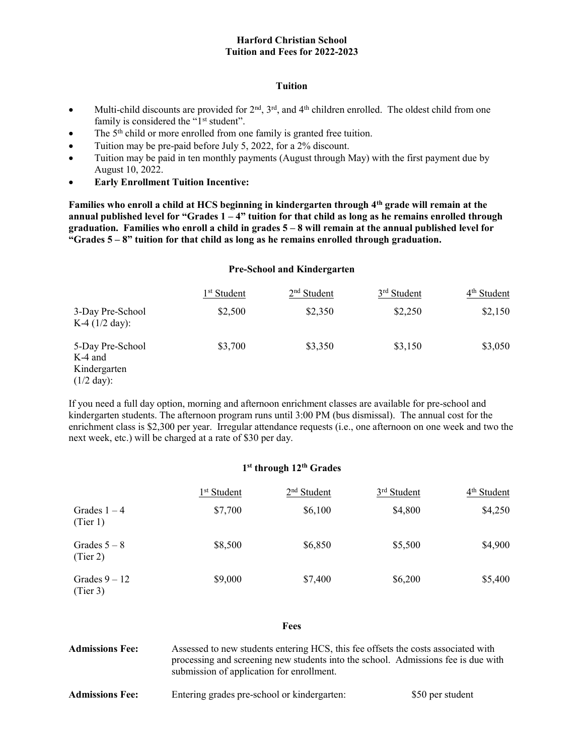## Harford Christian School Tuition and Fees for 2022-2023

### Tuition

- Multi-child discounts are provided for  $2<sup>nd</sup>$ ,  $3<sup>rd</sup>$ , and  $4<sup>th</sup>$  children enrolled. The oldest child from one family is considered the "1<sup>st</sup> student".
- The 5<sup>th</sup> child or more enrolled from one family is granted free tuition.
- Tuition may be pre-paid before July 5, 2022, for a 2% discount.
- Tuition may be paid in ten monthly payments (August through May) with the first payment due by August 10, 2022.
- Early Enrollment Tuition Incentive:

Families who enroll a child at HCS beginning in kindergarten through 4th grade will remain at the annual published level for "Grades  $1 - 4$ " tuition for that child as long as he remains enrolled through graduation. Families who enroll a child in grades  $5 - 8$  will remain at the annual published level for "Grades 5 – 8" tuition for that child as long as he remains enrolled through graduation.

#### Pre-School and Kindergarten

|                                                                      | 1 <sup>st</sup> Student | 2 <sup>nd</sup> Student | 3 <sup>rd</sup> Student | 4 <sup>th</sup> Student |
|----------------------------------------------------------------------|-------------------------|-------------------------|-------------------------|-------------------------|
| 3-Day Pre-School<br>K-4 $(1/2 \text{ day})$ :                        | \$2,500                 | \$2,350                 | \$2,250                 | \$2,150                 |
| 5-Day Pre-School<br>K-4 and<br>Kindergarten<br>$(1/2 \text{ day})$ : | \$3,700                 | \$3,350                 | \$3,150                 | \$3,050                 |

If you need a full day option, morning and afternoon enrichment classes are available for pre-school and kindergarten students. The afternoon program runs until 3:00 PM (bus dismissal). The annual cost for the enrichment class is \$2,300 per year. Irregular attendance requests (i.e., one afternoon on one week and two the next week, etc.) will be charged at a rate of \$30 per day.

# 1<sup>st</sup> through 12<sup>th</sup> Grades

|                             | 1 <sup>st</sup> Student | 2 <sup>nd</sup> Student | $3rd$ Student | 4 <sup>th</sup> Student |
|-----------------------------|-------------------------|-------------------------|---------------|-------------------------|
| Grades $1 - 4$<br>(Tier 1)  | \$7,700                 | \$6,100                 | \$4,800       | \$4,250                 |
| Grades $5 - 8$<br>(Tier 2)  | \$8,500                 | \$6,850                 | \$5,500       | \$4,900                 |
| Grades $9 - 12$<br>(Tier 3) | \$9,000                 | \$7,400                 | \$6,200       | \$5,400                 |

#### Fees

| <b>Admissions Fee:</b> | Assessed to new students entering HCS, this fee offsets the costs associated with<br>processing and screening new students into the school. Admissions fee is due with<br>submission of application for enrollment. |                  |
|------------------------|---------------------------------------------------------------------------------------------------------------------------------------------------------------------------------------------------------------------|------------------|
| <b>Admissions Fee:</b> | Entering grades pre-school or kindergarten:                                                                                                                                                                         | \$50 per student |